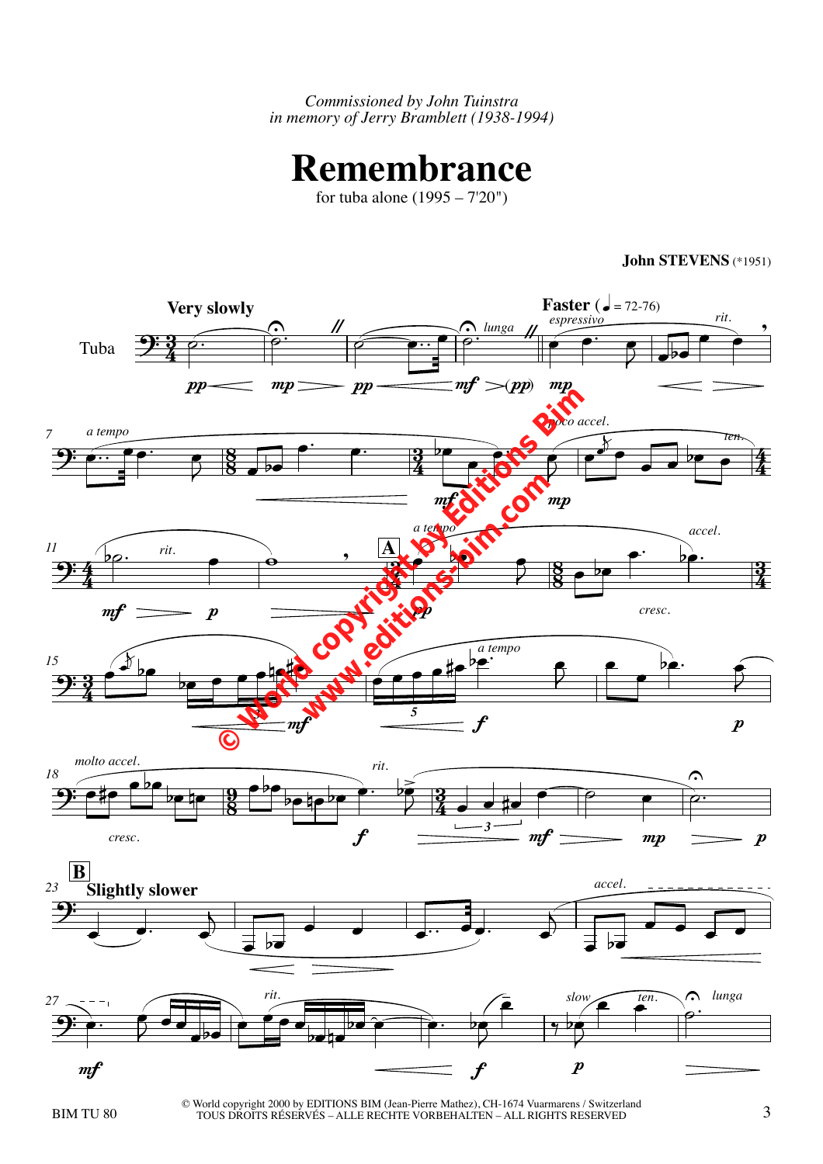*Commissioned by John Tuinstra in memory of Jerry Bramblett (1938-1994)*

## **Remembrance**

for tuba alone (1995 – 7'20")



**John STEVENS** (\*1951)

BIM TU 80 3 © World copyright 2000 by EDITIONS BIM (Jean-Pierre Mathez), CH-1674 Vuarmarens / Switzerland TOUS DROITS RÉSERVÉS – ALLE RECHTE VORBEHALTEN – ALL RIGHTS RESERVED